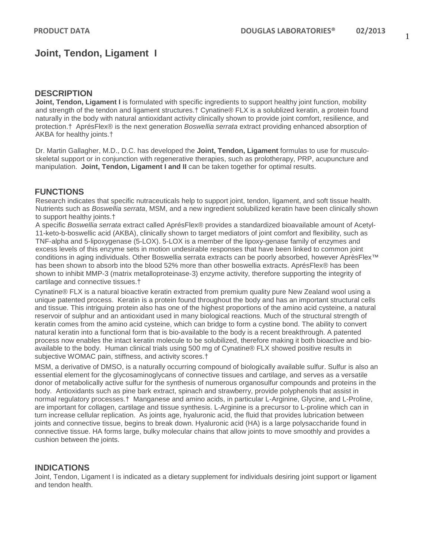## **Joint, Tendon, Ligament I**

### **DESCRIPTION**

**Joint, Tendon, Ligament I** is formulated with specific ingredients to support healthy joint function, mobility and strength of the tendon and ligament structures.† Cynatine® FLX is a solublized keratin, a protein found naturally in the body with natural antioxidant activity clinically shown to provide joint comfort, resilience, and protection.† AprésFlex® is the next generation *Boswellia serrata* extract providing enhanced absorption of AKBA for healthy joints.†

Dr. Martin Gallagher, M.D., D.C. has developed the **Joint, Tendon, Ligament** formulas to use for musculoskeletal support or in conjunction with regenerative therapies, such as prolotherapy, PRP, acupuncture and manipulation. **Joint, Tendon, Ligament I and II** can be taken together for optimal results.

### **FUNCTIONS**

Research indicates that specific nutraceuticals help to support joint, tendon, ligament, and soft tissue health. Nutrients such as *Boswellia serrata*, MSM, and a new ingredient solubilized keratin have been clinically shown to support healthy joints.†

A specific *Boswellia serrata* extract called AprésFlex® provides a standardized bioavailable amount of Acetyl-11-keto-b-boswellic acid (AKBA), clinically shown to target mediators of joint comfort and flexibility, such as TNF-alpha and 5-lipoxygenase (5-LOX). 5-LOX is a member of the lipoxy-genase family of enzymes and excess levels of this enzyme sets in motion undesirable responses that have been linked to common joint conditions in aging individuals. Other Boswellia serrata extracts can be poorly absorbed, however AprèsFlex™ has been shown to absorb into the blood 52% more than other boswellia extracts. AprésFlex® has been shown to inhibit MMP-3 (matrix metalloproteinase-3) enzyme activity, therefore supporting the integrity of cartilage and connective tissues.†

Cynatine® FLX is a natural bioactive keratin extracted from premium quality pure New Zealand wool using a unique patented process. Keratin is a protein found throughout the body and has an important structural cells and tissue. This intriguing protein also has one of the highest proportions of the amino acid cysteine, a natural reservoir of sulphur and an antioxidant used in many biological reactions. Much of the structural strength of keratin comes from the amino acid cysteine, which can bridge to form a cystine bond. The ability to convert natural keratin into a functional form that is bio-available to the body is a recent breakthrough. A patented process now enables the intact keratin molecule to be solubilized, therefore making it both bioactive and bioavailable to the body. Human clinical trials using 500 mg of Cynatine® FLX showed positive results in subjective WOMAC pain, stiffness, and activity scores.†

MSM, a derivative of DMSO, is a naturally occurring compound of biologically available sulfur. Sulfur is also an essential element for the glycosaminoglycans of connective tissues and cartilage, and serves as a versatile donor of metabolically active sulfur for the synthesis of numerous organosulfur compounds and proteins in the body. Antioxidants such as pine bark extract, spinach and strawberry, provide polyphenols that assist in normal regulatory processes.† Manganese and amino acids, in particular L-Arginine, Glycine, and L-Proline, are important for collagen, cartilage and tissue synthesis. L-Arginine is a precursor to L-proline which can in turn increase cellular replication. As joints age, hyaluronic acid, the fluid that provides lubrication between joints and connective tissue, begins to break down. Hyaluronic acid (HA) is a large polysaccharide found in connective tissue. HA forms large, bulky molecular chains that allow joints to move smoothly and provides a cushion between the joints.

### **INDICATIONS**

Joint, Tendon, Ligament I is indicated as a dietary supplement for individuals desiring joint support or ligament and tendon health.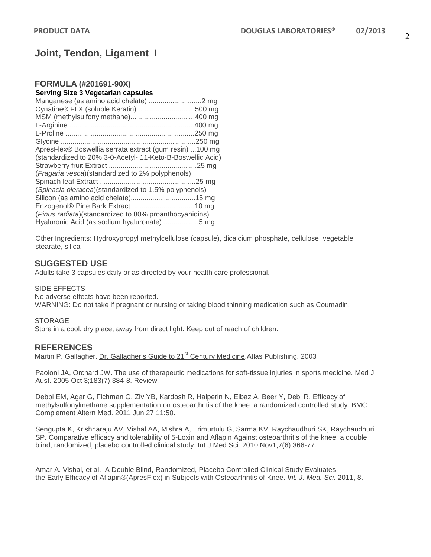# **Joint, Tendon, Ligament I**

#### **FORMULA (#201691-90X) Serving Size 3 Vegetarian capsules**

| Cynatine® FLX (soluble Keratin) 500 mg                     |  |
|------------------------------------------------------------|--|
|                                                            |  |
|                                                            |  |
|                                                            |  |
|                                                            |  |
| ApresFlex® Boswellia serrata extract (gum resin) 100 mg    |  |
| (standardized to 20% 3-0-Acetyl- 11-Keto-B-Boswellic Acid) |  |
|                                                            |  |
| (Fragaria vesca)(standardized to 2% polyphenols)           |  |
|                                                            |  |
| (Spinacia oleracea)(standardized to 1.5% polyphenols)      |  |
|                                                            |  |
|                                                            |  |
| (Pinus radiata)(standardized to 80% proanthocyanidins)     |  |
| Hyaluronic Acid (as sodium hyaluronate) 5 mg               |  |

Other Ingredients: Hydroxypropyl methylcellulose (capsule), dicalcium phosphate, cellulose, vegetable stearate, silica

## **SUGGESTED USE**

Adults take 3 capsules daily or as directed by your health care professional.

#### SIDE EFFECTS

No adverse effects have been reported.

WARNING: Do not take if pregnant or nursing or taking blood thinning medication such as Coumadin.

#### **STORAGE**

Store in a cool, dry place, away from direct light. Keep out of reach of children.

### **REFERENCES**

Martin P. Gallagher. Dr. Gallagher's Guide to 21<sup>st</sup> Century Medicine. Atlas Publishing. 2003

Paoloni JA, Orchard JW. The use of therapeutic medications for soft-tissue injuries in sports medicine. Med J Aust. 2005 Oct 3;183(7):384-8. Review.

Debbi EM, Agar G, Fichman G, Ziv YB, Kardosh R, Halperin N, Elbaz A, Beer Y, Debi R. Efficacy of methylsulfonylmethane supplementation on osteoarthritis of the knee: a randomized controlled study. BMC Complement Altern Med. 2011 Jun 27;11:50.

Sengupta K, Krishnaraju AV, Vishal AA, Mishra A, Trimurtulu G, Sarma KV, Raychaudhuri SK, Raychaudhuri SP. Comparative efficacy and tolerability of 5-Loxin and Aflapin Against osteoarthritis of the knee: a double blind, randomized, placebo controlled clinical study. Int J Med Sci. 2010 Nov1;7(6):366-77.

Amar A. Vishal, et al. A Double Blind, Randomized, Placebo Controlled Clinical Study Evaluates the Early Efficacy of Aflapin®(ApresFlex) in Subjects with Osteoarthritis of Knee. *Int. J. Med. Sci.* 2011, 8.